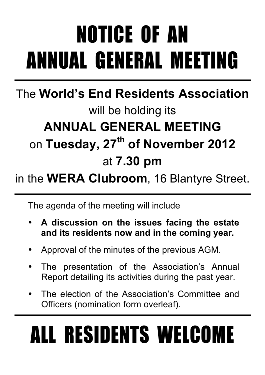# NOTICE OF AN ANNUAL GENERAL MEETING

### The **World's End Residents Association** will be holding its **ANNUAL GENERAL MEETING** on **Tuesday, 27th of November 2012** at **7.30 pm**

### in the **WERA Clubroom**, 16 Blantyre Street.

The agenda of the meeting will include

- **A discussion on the issues facing the estate and its residents now and in the coming year.**
- Approval of the minutes of the previous AGM.
- The presentation of the Association's Annual Report detailing its activities during the past year.
- The election of the Association's Committee and Officers (nomination form overleaf).

# ALL RESIDENTS WELCOME